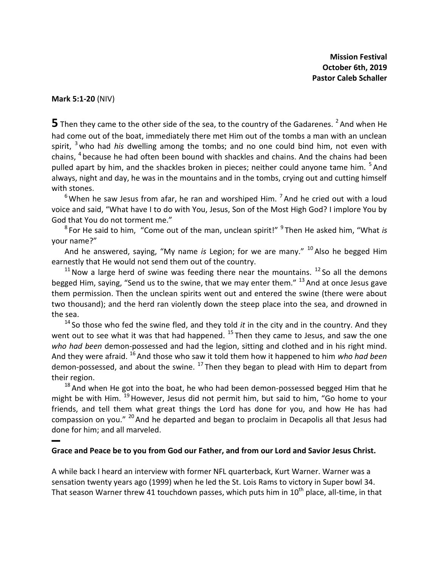**Mission Festival October 6th, 2019 Pastor Caleb Schaller**

**Mark 5:1-20** (NIV)

▬

 $\overline{\mathbf{5}}$  Then they came to the other side of the sea, to the country of the Gadarenes. <sup>2</sup> And when He had come out of the boat, immediately there met Him out of the tombs a man with an unclean spirit, <sup>3</sup> who had *his* dwelling among the tombs; and no one could bind him, not even with chains, <sup>4</sup> because he had often been bound with shackles and chains. And the chains had been pulled apart by him, and the shackles broken in pieces; neither could anyone tame him. <sup>5</sup> And always, night and day, he was in the mountains and in the tombs, crying out and cutting himself with stones.

 $^6$  When he saw Jesus from afar, he ran and worshiped Him.  $^7$  And he cried out with a loud voice and said, "What have I to do with You, Jesus, Son of the Most High God? I implore You by God that You do not torment me."

<sup>8</sup> For He said to him, "Come out of the man, unclean spirit!" <sup>9</sup> Then He asked him, "What *is* your name?"

And he answered, saying, "My name *is* Legion; for we are many." <sup>10</sup> Also he begged Him earnestly that He would not send them out of the country.

 $11$  Now a large herd of swine was feeding there near the mountains.  $12$  So all the demons begged Him, saying, "Send us to the swine, that we may enter them."  $^{13}$  And at once Jesus gave them permission. Then the unclean spirits went out and entered the swine (there were about two thousand); and the herd ran violently down the steep place into the sea, and drowned in the sea.

<sup>14</sup> So those who fed the swine fled, and they told *it* in the city and in the country. And they went out to see what it was that had happened.  $^{15}$  Then they came to Jesus, and saw the one *who had been* demon-possessed and had the legion, sitting and clothed and in his right mind. And they were afraid. <sup>16</sup> And those who saw it told them how it happened to him *who had been* demon-possessed, and about the swine.  $^{17}$  Then they began to plead with Him to depart from their region.

 $18$  And when He got into the boat, he who had been demon-possessed begged Him that he might be with Him.  $^{19}$  However, Jesus did not permit him, but said to him, "Go home to your friends, and tell them what great things the Lord has done for you, and how He has had compassion on you." <sup>20</sup> And he departed and began to proclaim in Decapolis all that Jesus had done for him; and all marveled.

## **Grace and Peace be to you from God our Father, and from our Lord and Savior Jesus Christ.**

A while back I heard an interview with former NFL quarterback, Kurt Warner. Warner was a sensation twenty years ago (1999) when he led the St. Lois Rams to victory in Super bowl 34. That season Warner threw 41 touchdown passes, which puts him in  $10<sup>th</sup>$  place, all-time, in that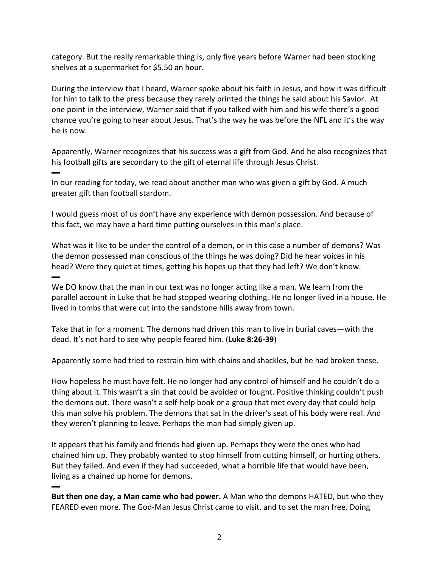category. But the really remarkable thing is, only five years before Warner had been stocking shelves at a supermarket for \$5.50 an hour.

During the interview that I heard, Warner spoke about his faith in Jesus, and how it was difficult for him to talk to the press because they rarely printed the things he said about his Savior. At one point in the interview, Warner said that if you talked with him and his wife there's a good chance you're going to hear about Jesus. That's the way he was before the NFL and it's the way he is now.

Apparently, Warner recognizes that his success was a gift from God. And he also recognizes that his football gifts are secondary to the gift of eternal life through Jesus Christ.

In our reading for today, we read about another man who was given a gift by God. A much greater gift than football stardom.

▬

▬

I would guess most of us don't have any experience with demon possession. And because of this fact, we may have a hard time putting ourselves in this man's place.

What was it like to be under the control of a demon, or in this case a number of demons? Was the demon possessed man conscious of the things he was doing? Did he hear voices in his head? Were they quiet at times, getting his hopes up that they had left? We don't know.

▬ We DO know that the man in our text was no longer acting like a man. We learn from the parallel account in Luke that he had stopped wearing clothing. He no longer lived in a house. He lived in tombs that were cut into the sandstone hills away from town.

Take that in for a moment. The demons had driven this man to live in burial caves—with the dead. It's not hard to see why people feared him. (**Luke 8:26-39**)

Apparently some had tried to restrain him with chains and shackles, but he had broken these.

How hopeless he must have felt. He no longer had any control of himself and he couldn't do a thing about it. This wasn't a sin that could be avoided or fought. Positive thinking couldn't push the demons out. There wasn't a self-help book or a group that met every day that could help this man solve his problem. The demons that sat in the driver's seat of his body were real. And they weren't planning to leave. Perhaps the man had simply given up.

It appears that his family and friends had given up. Perhaps they were the ones who had chained him up. They probably wanted to stop himself from cutting himself, or hurting others. But they failed. And even if they had succeeded, what a horrible life that would have been, living as a chained up home for demons.

**But then one day, a Man came who had power.** A Man who the demons HATED, but who they FEARED even more. The God-Man Jesus Christ came to visit, and to set the man free. Doing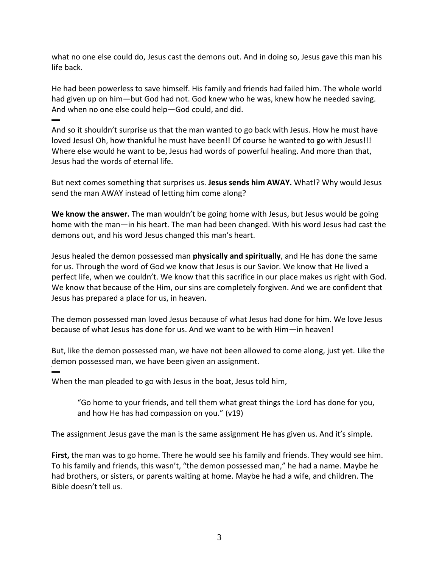what no one else could do, Jesus cast the demons out. And in doing so, Jesus gave this man his life back.

He had been powerless to save himself. His family and friends had failed him. The whole world had given up on him—but God had not. God knew who he was, knew how he needed saving. And when no one else could help—God could, and did.

▬ And so it shouldn't surprise us that the man wanted to go back with Jesus. How he must have loved Jesus! Oh, how thankful he must have been!! Of course he wanted to go with Jesus!!! Where else would he want to be, Jesus had words of powerful healing. And more than that, Jesus had the words of eternal life.

But next comes something that surprises us. **Jesus sends him AWAY.** What!? Why would Jesus send the man AWAY instead of letting him come along?

**We know the answer.** The man wouldn't be going home with Jesus, but Jesus would be going home with the man—in his heart. The man had been changed. With his word Jesus had cast the demons out, and his word Jesus changed this man's heart.

Jesus healed the demon possessed man **physically and spiritually**, and He has done the same for us. Through the word of God we know that Jesus is our Savior. We know that He lived a perfect life, when we couldn't. We know that this sacrifice in our place makes us right with God. We know that because of the Him, our sins are completely forgiven. And we are confident that Jesus has prepared a place for us, in heaven.

The demon possessed man loved Jesus because of what Jesus had done for him. We love Jesus because of what Jesus has done for us. And we want to be with Him—in heaven!

But, like the demon possessed man, we have not been allowed to come along, just yet. Like the demon possessed man, we have been given an assignment.

When the man pleaded to go with Jesus in the boat, Jesus told him,

▬

"Go home to your friends, and tell them what great things the Lord has done for you, and how He has had compassion on you." (v19)

The assignment Jesus gave the man is the same assignment He has given us. And it's simple.

**First,** the man was to go home. There he would see his family and friends. They would see him. To his family and friends, this wasn't, "the demon possessed man," he had a name. Maybe he had brothers, or sisters, or parents waiting at home. Maybe he had a wife, and children. The Bible doesn't tell us.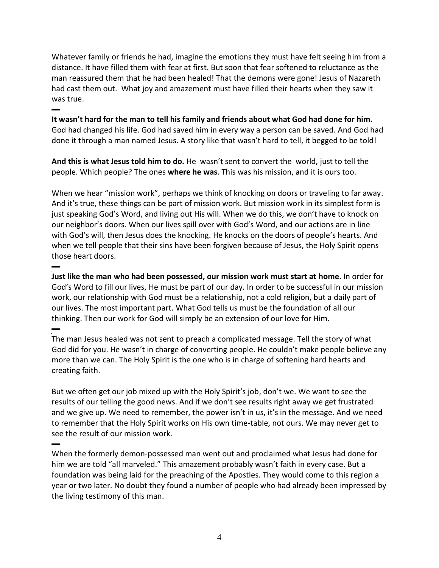Whatever family or friends he had, imagine the emotions they must have felt seeing him from a distance. It have filled them with fear at first. But soon that fear softened to reluctance as the man reassured them that he had been healed! That the demons were gone! Jesus of Nazareth had cast them out. What joy and amazement must have filled their hearts when they saw it was true.

▬ **It wasn't hard for the man to tell his family and friends about what God had done for him.** God had changed his life. God had saved him in every way a person can be saved. And God had done it through a man named Jesus. A story like that wasn't hard to tell, it begged to be told!

**And this is what Jesus told him to do.** He wasn't sent to convert the world, just to tell the people. Which people? The ones **where he was**. This was his mission, and it is ours too.

When we hear "mission work", perhaps we think of knocking on doors or traveling to far away. And it's true, these things can be part of mission work. But mission work in its simplest form is just speaking God's Word, and living out His will. When we do this, we don't have to knock on our neighbor's doors. When our lives spill over with God's Word, and our actions are in line with God's will, then Jesus does the knocking. He knocks on the doors of people's hearts. And when we tell people that their sins have been forgiven because of Jesus, the Holy Spirit opens those heart doors.

▬ **Just like the man who had been possessed, our mission work must start at home.** In order for God's Word to fill our lives, He must be part of our day. In order to be successful in our mission work, our relationship with God must be a relationship, not a cold religion, but a daily part of our lives. The most important part. What God tells us must be the foundation of all our thinking. Then our work for God will simply be an extension of our love for Him. ▬

The man Jesus healed was not sent to preach a complicated message. Tell the story of what God did for you. He wasn't in charge of converting people. He couldn't make people believe any more than we can. The Holy Spirit is the one who is in charge of softening hard hearts and creating faith.

But we often get our job mixed up with the Holy Spirit's job, don't we. We want to see the results of our telling the good news. And if we don't see results right away we get frustrated and we give up. We need to remember, the power isn't in us, it's in the message. And we need to remember that the Holy Spirit works on His own time-table, not ours. We may never get to see the result of our mission work.

▬

When the formerly demon-possessed man went out and proclaimed what Jesus had done for him we are told "all marveled." This amazement probably wasn't faith in every case. But a foundation was being laid for the preaching of the Apostles. They would come to this region a year or two later. No doubt they found a number of people who had already been impressed by the living testimony of this man.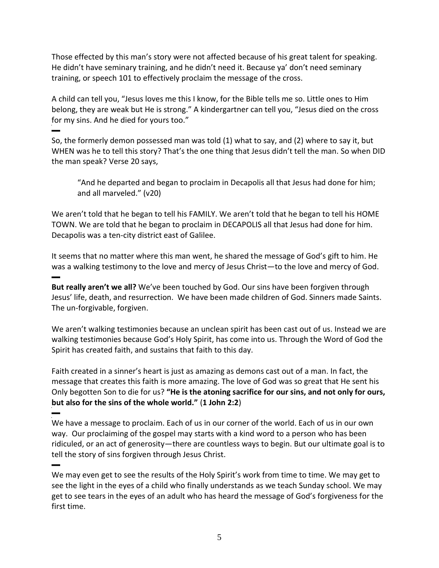Those effected by this man's story were not affected because of his great talent for speaking. He didn't have seminary training, and he didn't need it. Because ya' don't need seminary training, or speech 101 to effectively proclaim the message of the cross.

A child can tell you, "Jesus loves me this I know, for the Bible tells me so. Little ones to Him belong, they are weak but He is strong." A kindergartner can tell you, "Jesus died on the cross for my sins. And he died for yours too."

▬ So, the formerly demon possessed man was told (1) what to say, and (2) where to say it, but WHEN was he to tell this story? That's the one thing that Jesus didn't tell the man. So when DID the man speak? Verse 20 says,

"And he departed and began to proclaim in Decapolis all that Jesus had done for him; and all marveled." (v20)

We aren't told that he began to tell his FAMILY. We aren't told that he began to tell his HOME TOWN. We are told that he began to proclaim in DECAPOLIS all that Jesus had done for him. Decapolis was a ten-city district east of Galilee.

It seems that no matter where this man went, he shared the message of God's gift to him. He was a walking testimony to the love and mercy of Jesus Christ—to the love and mercy of God. ▬

**But really aren't we all?** We've been touched by God. Our sins have been forgiven through Jesus' life, death, and resurrection. We have been made children of God. Sinners made Saints. The un-forgivable, forgiven.

We aren't walking testimonies because an unclean spirit has been cast out of us. Instead we are walking testimonies because God's Holy Spirit, has come into us. Through the Word of God the Spirit has created faith, and sustains that faith to this day.

Faith created in a sinner's heart is just as amazing as demons cast out of a man. In fact, the message that creates this faith is more amazing. The love of God was so great that He sent his Only begotten Son to die for us? **"He is the atoning sacrifice for our sins, and not only for ours, but also for the sins of the whole world."** (**1 John 2:2**) ▬

## We have a message to proclaim. Each of us in our corner of the world. Each of us in our own way. Our proclaiming of the gospel may starts with a kind word to a person who has been ridiculed, or an act of generosity—there are countless ways to begin. But our ultimate goal is to tell the story of sins forgiven through Jesus Christ.

We may even get to see the results of the Holy Spirit's work from time to time. We may get to see the light in the eyes of a child who finally understands as we teach Sunday school. We may get to see tears in the eyes of an adult who has heard the message of God's forgiveness for the first time.

▬